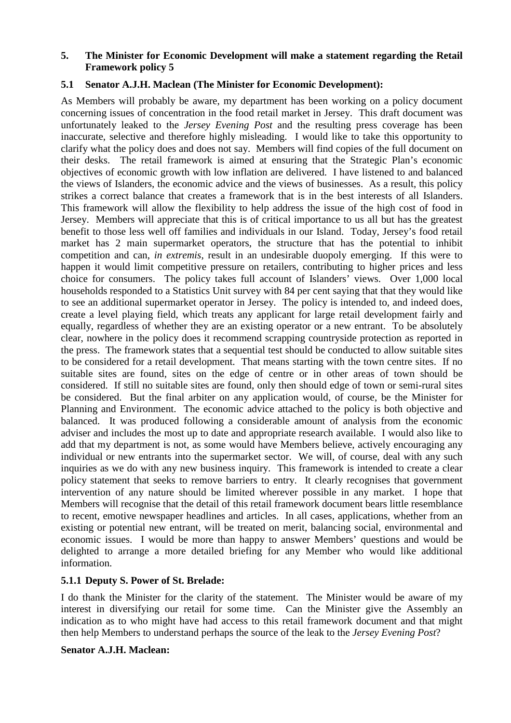#### **5. The Minister for Economic Development will make a statement regarding the Retail Framework policy 5**

#### **5.1 Senator A.J.H. Maclean (The Minister for Economic Development):**

As Members will probably be aware, my department has been working on a policy document concerning issues of concentration in the food retail market in Jersey. This draft document was unfortunately leaked to the *Jersey Evening Post* and the resulting press coverage has been inaccurate, selective and therefore highly misleading. I would like to take this opportunity to clarify what the policy does and does not say. Members will find copies of the full document on their desks. The retail framework is aimed at ensuring that the Strategic Plan's economic objectives of economic growth with low inflation are delivered. I have listened to and balanced the views of Islanders, the economic advice and the views of businesses. As a result, this policy strikes a correct balance that creates a framework that is in the best interests of all Islanders. This framework will allow the flexibility to help address the issue of the high cost of food in Jersey. Members will appreciate that this is of critical importance to us all but has the greatest benefit to those less well off families and individuals in our Island. Today, Jersey's food retail market has 2 main supermarket operators, the structure that has the potential to inhibit competition and can, *in extremis*, result in an undesirable duopoly emerging. If this were to happen it would limit competitive pressure on retailers, contributing to higher prices and less choice for consumers. The policy takes full account of Islanders' views. Over 1,000 local households responded to a Statistics Unit survey with 84 per cent saying that that they would like to see an additional supermarket operator in Jersey. The policy is intended to, and indeed does, create a level playing field, which treats any applicant for large retail development fairly and equally, regardless of whether they are an existing operator or a new entrant. To be absolutely clear, nowhere in the policy does it recommend scrapping countryside protection as reported in the press. The framework states that a sequential test should be conducted to allow suitable sites to be considered for a retail development. That means starting with the town centre sites. If no suitable sites are found, sites on the edge of centre or in other areas of town should be considered. If still no suitable sites are found, only then should edge of town or semi-rural sites be considered. But the final arbiter on any application would, of course, be the Minister for Planning and Environment. The economic advice attached to the policy is both objective and balanced. It was produced following a considerable amount of analysis from the economic adviser and includes the most up to date and appropriate research available. I would also like to add that my department is not, as some would have Members believe, actively encouraging any individual or new entrants into the supermarket sector. We will, of course, deal with any such inquiries as we do with any new business inquiry. This framework is intended to create a clear policy statement that seeks to remove barriers to entry. It clearly recognises that government intervention of any nature should be limited wherever possible in any market. I hope that Members will recognise that the detail of this retail framework document bears little resemblance to recent, emotive newspaper headlines and articles. In all cases, applications, whether from an existing or potential new entrant, will be treated on merit, balancing social, environmental and economic issues. I would be more than happy to answer Members' questions and would be delighted to arrange a more detailed briefing for any Member who would like additional information.

#### **5.1.1 Deputy S. Power of St. Brelade:**

I do thank the Minister for the clarity of the statement. The Minister would be aware of my interest in diversifying our retail for some time. Can the Minister give the Assembly an indication as to who might have had access to this retail framework document and that might then help Members to understand perhaps the source of the leak to the *Jersey Evening Post*?

#### **Senator A.J.H. Maclean:**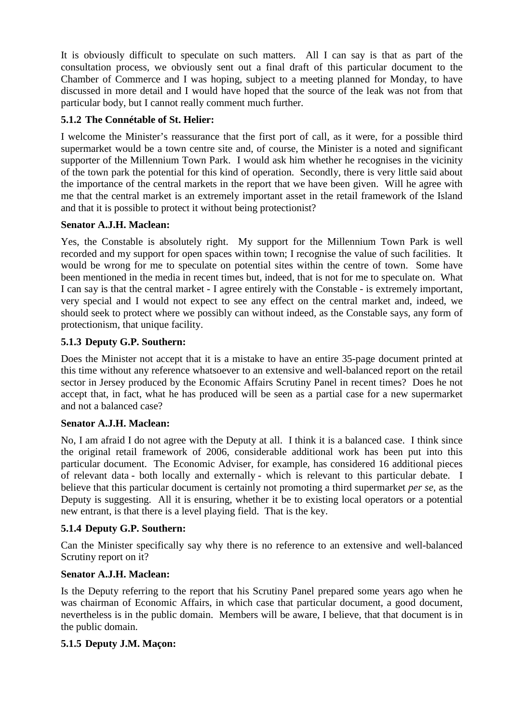It is obviously difficult to speculate on such matters. All I can say is that as part of the consultation process, we obviously sent out a final draft of this particular document to the Chamber of Commerce and I was hoping, subject to a meeting planned for Monday, to have discussed in more detail and I would have hoped that the source of the leak was not from that particular body, but I cannot really comment much further.

# **5.1.2 The Connétable of St. Helier:**

I welcome the Minister's reassurance that the first port of call, as it were, for a possible third supermarket would be a town centre site and, of course, the Minister is a noted and significant supporter of the Millennium Town Park. I would ask him whether he recognises in the vicinity of the town park the potential for this kind of operation. Secondly, there is very little said about the importance of the central markets in the report that we have been given. Will he agree with me that the central market is an extremely important asset in the retail framework of the Island and that it is possible to protect it without being protectionist?

# **Senator A.J.H. Maclean:**

Yes, the Constable is absolutely right. My support for the Millennium Town Park is well recorded and my support for open spaces within town; I recognise the value of such facilities. It would be wrong for me to speculate on potential sites within the centre of town. Some have been mentioned in the media in recent times but, indeed, that is not for me to speculate on. What I can say is that the central market - I agree entirely with the Constable - is extremely important, very special and I would not expect to see any effect on the central market and, indeed, we should seek to protect where we possibly can without indeed, as the Constable says, any form of protectionism, that unique facility.

# **5.1.3 Deputy G.P. Southern:**

Does the Minister not accept that it is a mistake to have an entire 35-page document printed at this time without any reference whatsoever to an extensive and well-balanced report on the retail sector in Jersey produced by the Economic Affairs Scrutiny Panel in recent times? Does he not accept that, in fact, what he has produced will be seen as a partial case for a new supermarket and not a balanced case?

# **Senator A.J.H. Maclean:**

No, I am afraid I do not agree with the Deputy at all. I think it is a balanced case. I think since the original retail framework of 2006, considerable additional work has been put into this particular document. The Economic Adviser, for example, has considered 16 additional pieces of relevant data - both locally and externally - which is relevant to this particular debate. I believe that this particular document is certainly not promoting a third supermarket *per se*, as the Deputy is suggesting. All it is ensuring, whether it be to existing local operators or a potential new entrant, is that there is a level playing field. That is the key.

# **5.1.4 Deputy G.P. Southern:**

Can the Minister specifically say why there is no reference to an extensive and well-balanced Scrutiny report on it?

# **Senator A.J.H. Maclean:**

Is the Deputy referring to the report that his Scrutiny Panel prepared some years ago when he was chairman of Economic Affairs, in which case that particular document, a good document, nevertheless is in the public domain. Members will be aware, I believe, that that document is in the public domain.

# **5.1.5 Deputy J.M. Maçon:**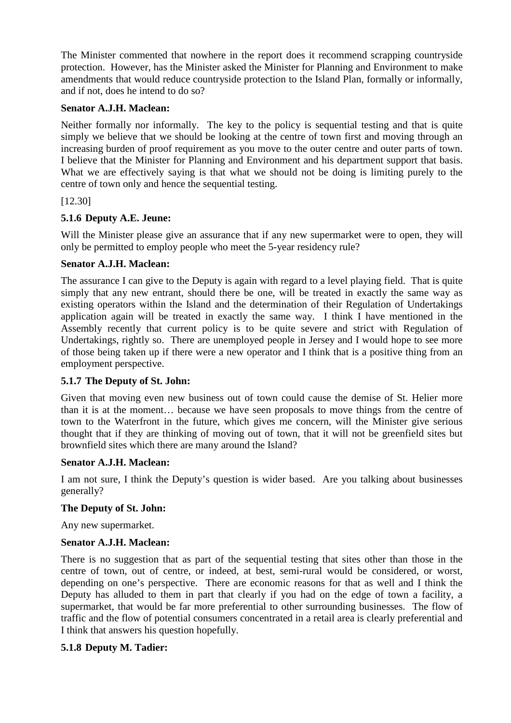The Minister commented that nowhere in the report does it recommend scrapping countryside protection. However, has the Minister asked the Minister for Planning and Environment to make amendments that would reduce countryside protection to the Island Plan, formally or informally, and if not, does he intend to do so?

#### **Senator A.J.H. Maclean:**

Neither formally nor informally. The key to the policy is sequential testing and that is quite simply we believe that we should be looking at the centre of town first and moving through an increasing burden of proof requirement as you move to the outer centre and outer parts of town. I believe that the Minister for Planning and Environment and his department support that basis. What we are effectively saying is that what we should not be doing is limiting purely to the centre of town only and hence the sequential testing.

[12.30]

# **5.1.6 Deputy A.E. Jeune:**

Will the Minister please give an assurance that if any new supermarket were to open, they will only be permitted to employ people who meet the 5-year residency rule?

# **Senator A.J.H. Maclean:**

The assurance I can give to the Deputy is again with regard to a level playing field. That is quite simply that any new entrant, should there be one, will be treated in exactly the same way as existing operators within the Island and the determination of their Regulation of Undertakings application again will be treated in exactly the same way. I think I have mentioned in the Assembly recently that current policy is to be quite severe and strict with Regulation of Undertakings, rightly so. There are unemployed people in Jersey and I would hope to see more of those being taken up if there were a new operator and I think that is a positive thing from an employment perspective.

# **5.1.7 The Deputy of St. John:**

Given that moving even new business out of town could cause the demise of St. Helier more than it is at the moment… because we have seen proposals to move things from the centre of town to the Waterfront in the future, which gives me concern, will the Minister give serious thought that if they are thinking of moving out of town, that it will not be greenfield sites but brownfield sites which there are many around the Island?

# **Senator A.J.H. Maclean:**

I am not sure, I think the Deputy's question is wider based. Are you talking about businesses generally?

# **The Deputy of St. John:**

Any new supermarket.

# **Senator A.J.H. Maclean:**

There is no suggestion that as part of the sequential testing that sites other than those in the centre of town, out of centre, or indeed, at best, semi-rural would be considered, or worst, depending on one's perspective. There are economic reasons for that as well and I think the Deputy has alluded to them in part that clearly if you had on the edge of town a facility, a supermarket, that would be far more preferential to other surrounding businesses. The flow of traffic and the flow of potential consumers concentrated in a retail area is clearly preferential and I think that answers his question hopefully.

# **5.1.8 Deputy M. Tadier:**